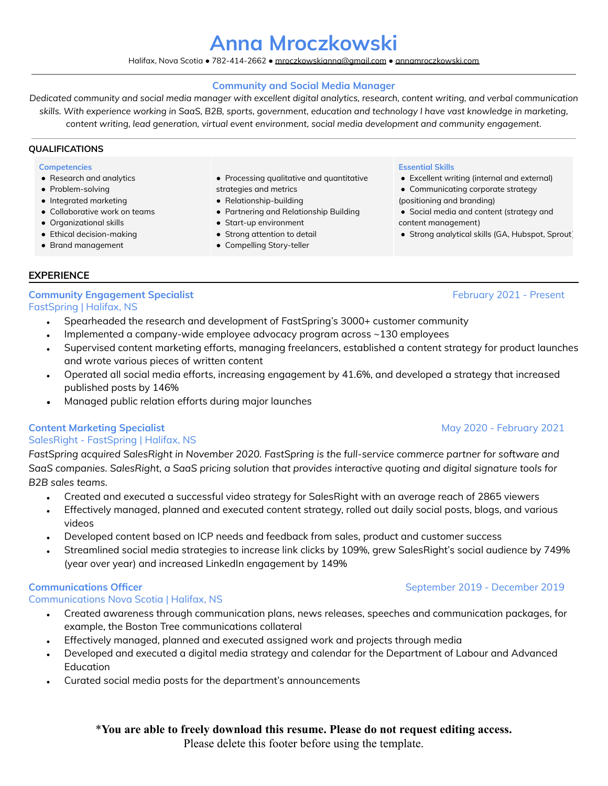# **Anna Mroczkowski**

### Halifax, Nova Scotia ● 782-414-2662 ● [mroczkowskianna@gmail.com](mailto:mroczkowskianna@gmail.com) ● [annamroczkowski.com](https://www.annamroczkowski.com/)

### **Community and Social Media Manager**

Dedicated community and social media manager with excellent digital analytics, research, content writing, and verbal communication skills. With experience working in SaaS, B2B, sports, government, education and technology I have vast knowledge in marketing, *content writing, lead generation, virtual event environment, social media development and community engagement.*

### **QUALIFICATIONS**

### **Competencies**

- Research and analytics
- Problem-solving
- Integrated marketing
- Collaborative work on teams
- Organizational skills
- Ethical decision-making
- Brand management
- Processing qualitative and quantitative strategies and metrics
- Relationship-building
- Partnering and Relationship Building
- Start-up environment
- Strong attention to detail
- Compelling Story-teller

### **Essential Skills**

- Excellent writing (internal and external)
- Communicating corporate strategy
- (positioning and branding)
- Social media and content (strategy and content management)
- Strong analytical skills (GA, Hubspot, Sprout)

# **EXPERIENCE**

# **Community Engagement Specialist** February 2021 - Present

FastSpring | Halifax, NS

- Spearheaded the research and development of FastSpring's 3000+ customer community
- Implemented a company-wide employee advocacy program across  $\sim$ 130 employees
- Supervised content marketing efforts, managing freelancers, established a content strategy for product launches and wrote various pieces of written content
- Operated all social media efforts, increasing engagement by 41.6%, and developed a strategy that increased published posts by 146%
- Managed public relation efforts during major launches

# **Content Marketing Specialist** May 2020 - February 2021

## SalesRight - FastSpring | Halifax, NS

*FastSpring acquired SalesRight in November 2020. FastSpring is the full-service commerce partner for software and* SaaS companies. SalesRight, a SaaS pricing solution that provides interactive quoting and digital signature tools for *B2B sales teams.*

- Created and executed a successful video strategy for SalesRight with an average reach of 2865 viewers
- Effectively managed, planned and executed content strategy, rolled out daily social posts, blogs, and various videos
- Developed content based on ICP needs and feedback from sales, product and customer success
- Streamlined social media strategies to increase link clicks by 109%, grew SalesRight's social audience by 749% (year over year) and increased LinkedIn engagement by 149%

# Communications Nova Scotia | Halifax, NS

- Created awareness through communication plans, news releases, speeches and communication packages, for example, the Boston Tree communications collateral
- Effectively managed, planned and executed assigned work and projects through media
- Developed and executed a digital media strategy and calendar for the Department of Labour and Advanced **Education**
- Curated social media posts for the department's announcements

# \***You are able to freely download this resume. Please do not request editing access.**

Please delete this footer before using the template.

# **Communications Officer** September 2019 - December 2019 - December 2019 - September 2019 - December 2019